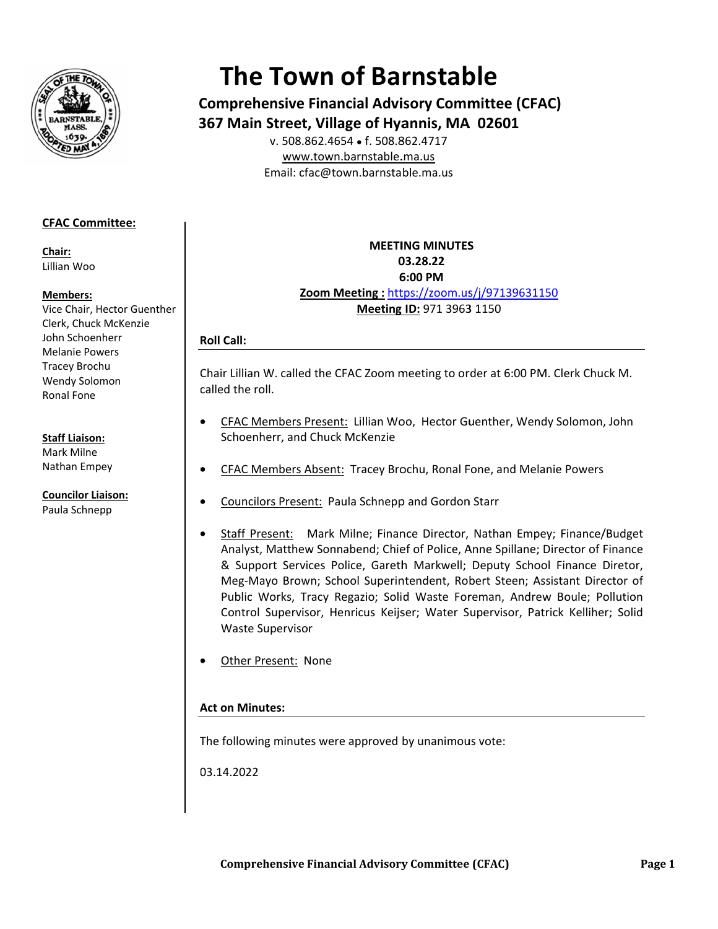

# **The Town of Barnstable**

**Comprehensive Financial Advisory Committee (CFAC)** 367 Main Street, Village of Hyannis, MA 02601 v. 508.862.4654 • f. 508.862.4717

www.town.barnstable.ma.us Email: cfac@town.barnstable.ma.us

# **CFAC Committee:**

Chair: Lillian Woo

## Members:

Vice Chair, Hector Guenther Clerk, Chuck McKenzie John Schoenherr **Melanie Powers Tracey Brochu** Wendy Solomon Ronal Fone

## **Staff Liaison:**

Mark Milne Nathan Empey

**Councilor Liaison:** Paula Schnepp

**MEETING MINUTES** 03.28.22 6:00 PM Zoom Meeting: https://zoom.us/j/97139631150 Meeting ID: 971 3963 1150

## **Roll Call:**

Chair Lillian W. called the CFAC Zoom meeting to order at 6:00 PM. Clerk Chuck M. called the roll.

- CFAC Members Present: Lillian Woo, Hector Guenther, Wendy Solomon, John Schoenherr, and Chuck McKenzie
- CFAC Members Absent: Tracey Brochu, Ronal Fone, and Melanie Powers
- **Councilors Present: Paula Schnepp and Gordon Starr**
- Staff Present: Mark Milne; Finance Director, Nathan Empey; Finance/Budget Analyst, Matthew Sonnabend; Chief of Police, Anne Spillane; Director of Finance & Support Services Police, Gareth Markwell; Deputy School Finance Diretor, Meg-Mayo Brown; School Superintendent, Robert Steen; Assistant Director of Public Works, Tracy Regazio; Solid Waste Foreman, Andrew Boule; Pollution Control Supervisor, Henricus Keijser; Water Supervisor, Patrick Kelliher; Solid **Waste Supervisor**
- Other Present: None

## **Act on Minutes:**

The following minutes were approved by unanimous vote:

03.14.2022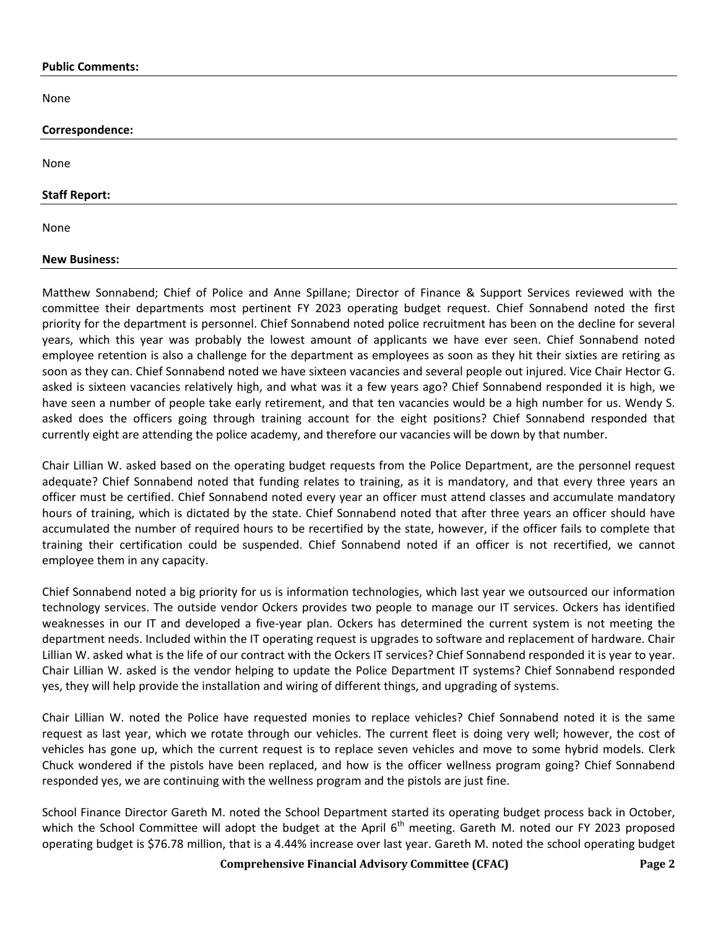#### **Public Comments:**

None

| Correspondence:      |  |  |
|----------------------|--|--|
|                      |  |  |
| None                 |  |  |
|                      |  |  |
| <b>Staff Report:</b> |  |  |
|                      |  |  |
| None                 |  |  |

#### **New Business:**

Matthew Sonnabend; Chief of Police and Anne Spillane; Director of Finance & Support Services reviewed with the committee their departments most pertinent FY 2023 operating budget request. Chief Sonnabend noted the first priority for the department is personnel. Chief Sonnabend noted police recruitment has been on the decline for several years, which this year was probably the lowest amount of applicants we have ever seen. Chief Sonnabend noted employee retention is also a challenge for the department as employees as soon as they hit their sixties are retiring as soon as they can. Chief Sonnabend noted we have sixteen vacancies and several people out injured. Vice Chair Hector G. asked is sixteen vacancies relatively high, and what was it a few years ago? Chief Sonnabend responded it is high, we have seen a number of people take early retirement, and that ten vacancies would be a high number for us. Wendy S. asked does the officers going through training account for the eight positions? Chief Sonnabend responded that currently eight are attending the police academy, and therefore our vacancies will be down by that number.

Chair Lillian W. asked based on the operating budget requests from the Police Department, are the personnel request adequate? Chief Sonnabend noted that funding relates to training, as it is mandatory, and that every three years an officer must be certified. Chief Sonnabend noted every year an officer must attend classes and accumulate mandatory hours of training, which is dictated by the state. Chief Sonnabend noted that after three years an officer should have accumulated the number of required hours to be recertified by the state, however, if the officer fails to complete that training their certification could be suspended. Chief Sonnabend noted if an officer is not recertified, we cannot employee them in any capacity.

Chief Sonnabend noted a big priority for us is information technologies, which last year we outsourced our information technology services. The outside vendor Ockers provides two people to manage our IT services. Ockers has identified weaknesses in our IT and developed a five-year plan. Ockers has determined the current system is not meeting the department needs. Included within the IT operating request is upgrades to software and replacement of hardware. Chair Lillian W. asked what is the life of our contract with the Ockers IT services? Chief Sonnabend responded it is year to year. Chair Lillian W. asked is the vendor helping to update the Police Department IT systems? Chief Sonnabend responded yes, they will help provide the installation and wiring of different things, and upgrading of systems.

Chair Lillian W. noted the Police have requested monies to replace vehicles? Chief Sonnabend noted it is the same request as last year, which we rotate through our vehicles. The current fleet is doing very well; however, the cost of vehicles has gone up, which the current request is to replace seven vehicles and move to some hybrid models. Clerk Chuck wondered if the pistols have been replaced, and how is the officer wellness program going? Chief Sonnabend responded yes, we are continuing with the wellness program and the pistols are just fine.

School Finance Director Gareth M. noted the School Department started its operating budget process back in October, which the School Committee will adopt the budget at the April 6<sup>th</sup> meeting. Gareth M. noted our FY 2023 proposed operating budget is \$76.78 million, that is a 4.44% increase over last year. Gareth M. noted the school operating budget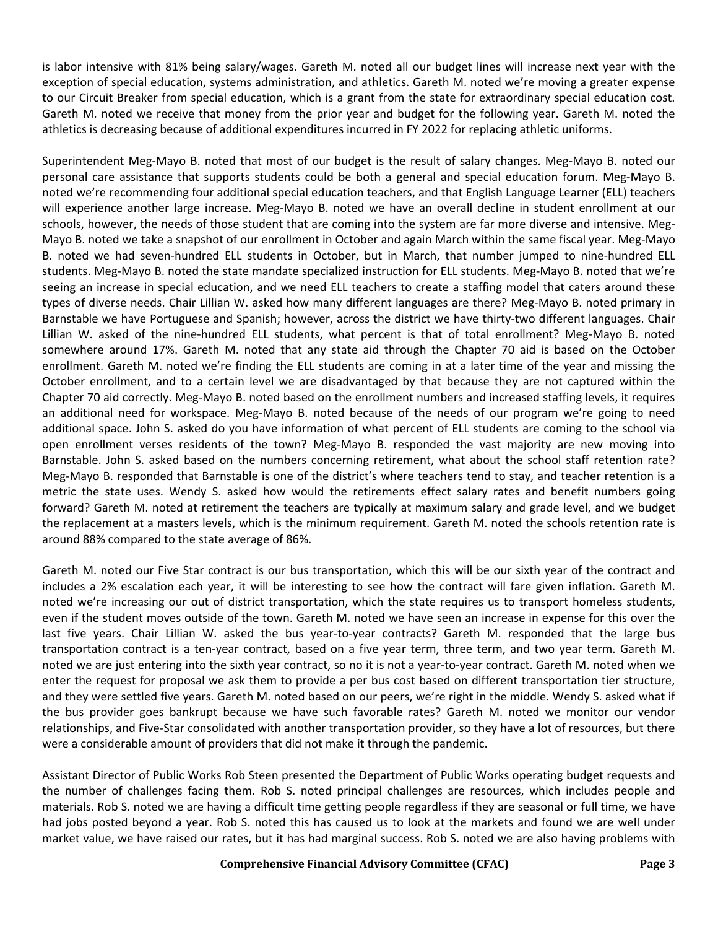is labor intensive with 81% being salary/wages. Gareth M. noted all our budget lines will increase next year with the exception of special education, systems administration, and athletics. Gareth M. noted we're moving a greater expense to our Circuit Breaker from special education, which is a grant from the state for extraordinary special education cost. Gareth M. noted we receive that money from the prior year and budget for the following year. Gareth M. noted the athletics is decreasing because of additional expenditures incurred in FY 2022 for replacing athletic uniforms.

Superintendent Meg-Mayo B. noted that most of our budget is the result of salary changes. Meg-Mayo B. noted our personal care assistance that supports students could be both a general and special education forum. Meg-Mayo B. noted we're recommending four additional special education teachers, and that English Language Learner (ELL) teachers will experience another large increase. Meg-Mayo B. noted we have an overall decline in student enrollment at our schools, however, the needs of those student that are coming into the system are far more diverse and intensive. Meg-Mayo B. noted we take a snapshot of our enrollment in October and again March within the same fiscal year. Meg-Mayo B. noted we had seven-hundred ELL students in October, but in March, that number jumped to nine-hundred ELL students. Meg-Mayo B. noted the state mandate specialized instruction for ELL students. Meg-Mayo B. noted that we're seeing an increase in special education, and we need ELL teachers to create a staffing model that caters around these types of diverse needs. Chair Lillian W. asked how many different languages are there? Meg-Mayo B. noted primary in Barnstable we have Portuguese and Spanish; however, across the district we have thirty-two different languages. Chair Lillian W. asked of the nine-hundred ELL students, what percent is that of total enrollment? Meg-Mayo B. noted somewhere around 17%. Gareth M. noted that any state aid through the Chapter 70 aid is based on the October enrollment. Gareth M. noted we're finding the ELL students are coming in at a later time of the year and missing the October enrollment, and to a certain level we are disadvantaged by that because they are not captured within the Chapter 70 aid correctly. Meg-Mayo B. noted based on the enrollment numbers and increased staffing levels, it requires an additional need for workspace. Meg-Mayo B. noted because of the needs of our program we're going to need additional space. John S. asked do you have information of what percent of ELL students are coming to the school via open enrollment verses residents of the town? Meg-Mayo B. responded the vast majority are new moving into Barnstable. John S. asked based on the numbers concerning retirement, what about the school staff retention rate? Meg-Mayo B. responded that Barnstable is one of the district's where teachers tend to stay, and teacher retention is a metric the state uses. Wendy S. asked how would the retirements effect salary rates and benefit numbers going forward? Gareth M. noted at retirement the teachers are typically at maximum salary and grade level, and we budget the replacement at a masters levels, which is the minimum requirement. Gareth M. noted the schools retention rate is around 88% compared to the state average of 86%.

Gareth M. noted our Five Star contract is our bus transportation, which this will be our sixth year of the contract and includes a 2% escalation each year, it will be interesting to see how the contract will fare given inflation. Gareth M. noted we're increasing our out of district transportation, which the state requires us to transport homeless students, even if the student moves outside of the town. Gareth M. noted we have seen an increase in expense for this over the last five years. Chair Lillian W. asked the bus year-to-year contracts? Gareth M. responded that the large bus transportation contract is a ten-year contract, based on a five year term, three term, and two year term. Gareth M. noted we are just entering into the sixth year contract, so no it is not a year-to-year contract. Gareth M. noted when we enter the request for proposal we ask them to provide a per bus cost based on different transportation tier structure, and they were settled five years. Gareth M. noted based on our peers, we're right in the middle. Wendy S. asked what if the bus provider goes bankrupt because we have such favorable rates? Gareth M. noted we monitor our vendor relationships, and Five-Star consolidated with another transportation provider, so they have a lot of resources, but there were a considerable amount of providers that did not make it through the pandemic.

Assistant Director of Public Works Rob Steen presented the Department of Public Works operating budget requests and the number of challenges facing them. Rob S. noted principal challenges are resources, which includes people and materials. Rob S. noted we are having a difficult time getting people regardless if they are seasonal or full time, we have had jobs posted beyond a year. Rob S. noted this has caused us to look at the markets and found we are well under market value, we have raised our rates, but it has had marginal success. Rob S. noted we are also having problems with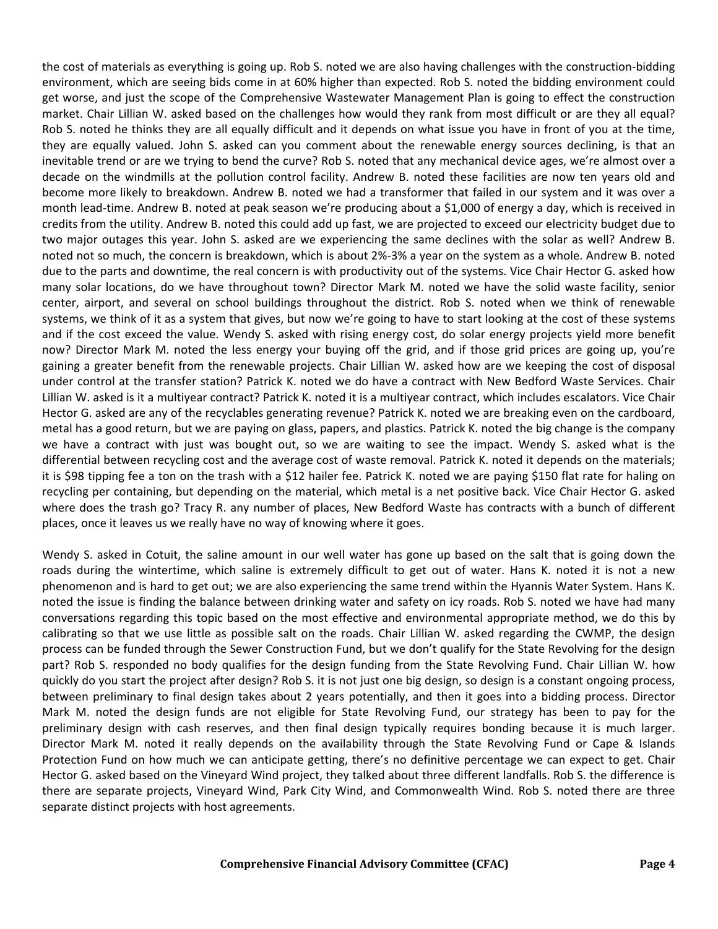the cost of materials as everything is going up. Rob S. noted we are also having challenges with the construction-bidding environment, which are seeing bids come in at 60% higher than expected. Rob S. noted the bidding environment could get worse, and just the scope of the Comprehensive Wastewater Management Plan is going to effect the construction market. Chair Lillian W. asked based on the challenges how would they rank from most difficult or are they all equal? Rob S. noted he thinks they are all equally difficult and it depends on what issue you have in front of you at the time, they are equally valued. John S. asked can you comment about the renewable energy sources declining, is that an inevitable trend or are we trying to bend the curve? Rob S. noted that any mechanical device ages, we're almost over a decade on the windmills at the pollution control facility. Andrew B. noted these facilities are now ten years old and become more likely to breakdown. Andrew B. noted we had a transformer that failed in our system and it was over a month lead-time. Andrew B. noted at peak season we're producing about a \$1,000 of energy a day, which is received in credits from the utility. Andrew B. noted this could add up fast, we are projected to exceed our electricity budget due to two major outages this year. John S. asked are we experiencing the same declines with the solar as well? Andrew B. noted not so much, the concern is breakdown, which is about 2%-3% a year on the system as a whole. Andrew B. noted due to the parts and downtime, the real concern is with productivity out of the systems. Vice Chair Hector G. asked how many solar locations, do we have throughout town? Director Mark M. noted we have the solid waste facility, senior center, airport, and several on school buildings throughout the district. Rob S. noted when we think of renewable systems, we think of it as a system that gives, but now we're going to have to start looking at the cost of these systems and if the cost exceed the value. Wendy S. asked with rising energy cost, do solar energy projects yield more benefit now? Director Mark M. noted the less energy your buying off the grid, and if those grid prices are going up, you're gaining a greater benefit from the renewable projects. Chair Lillian W. asked how are we keeping the cost of disposal under control at the transfer station? Patrick K. noted we do have a contract with New Bedford Waste Services. Chair Lillian W. asked is it a multiyear contract? Patrick K. noted it is a multiyear contract, which includes escalators. Vice Chair Hector G. asked are any of the recyclables generating revenue? Patrick K. noted we are breaking even on the cardboard, metal has a good return, but we are paying on glass, papers, and plastics. Patrick K. noted the big change is the company we have a contract with just was bought out, so we are waiting to see the impact. Wendy S. asked what is the differential between recycling cost and the average cost of waste removal. Patrick K. noted it depends on the materials; it is \$98 tipping fee a ton on the trash with a \$12 hailer fee. Patrick K. noted we are paying \$150 flat rate for haling on recycling per containing, but depending on the material, which metal is a net positive back. Vice Chair Hector G. asked where does the trash go? Tracy R. any number of places, New Bedford Waste has contracts with a bunch of different places, once it leaves us we really have no way of knowing where it goes.

Wendy S. asked in Cotuit, the saline amount in our well water has gone up based on the salt that is going down the roads during the wintertime, which saline is extremely difficult to get out of water. Hans K. noted it is not a new phenomenon and is hard to get out; we are also experiencing the same trend within the Hyannis Water System. Hans K. noted the issue is finding the balance between drinking water and safety on icy roads. Rob S. noted we have had many conversations regarding this topic based on the most effective and environmental appropriate method, we do this by calibrating so that we use little as possible salt on the roads. Chair Lillian W. asked regarding the CWMP, the design process can be funded through the Sewer Construction Fund, but we don't qualify for the State Revolving for the design part? Rob S. responded no body qualifies for the design funding from the State Revolving Fund. Chair Lillian W. how quickly do you start the project after design? Rob S. it is not just one big design, so design is a constant ongoing process, between preliminary to final design takes about 2 years potentially, and then it goes into a bidding process. Director Mark M. noted the design funds are not eligible for State Revolving Fund, our strategy has been to pay for the preliminary design with cash reserves, and then final design typically requires bonding because it is much larger. Director Mark M. noted it really depends on the availability through the State Revolving Fund or Cape & Islands Protection Fund on how much we can anticipate getting, there's no definitive percentage we can expect to get. Chair Hector G. asked based on the Vineyard Wind project, they talked about three different landfalls. Rob S. the difference is there are separate projects, Vineyard Wind, Park City Wind, and Commonwealth Wind. Rob S. noted there are three separate distinct projects with host agreements.